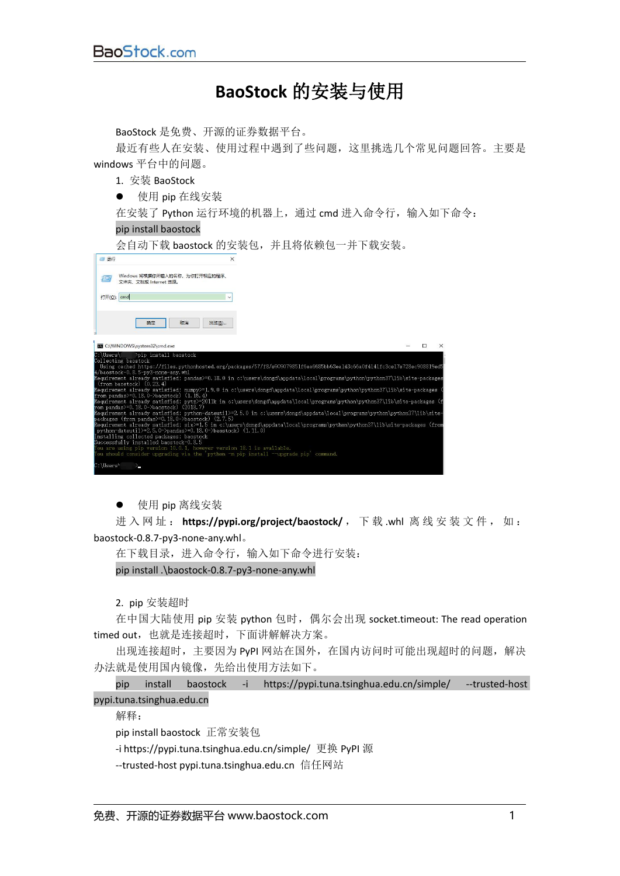## **BaoStock** 的安装与使用

BaoStock 是免费、开源的证券数据平台。

最近有些人在安装、使用过程中遇到了些问题,这里挑选几个常见问题回答。主要是 windows 平台中的问题。

1. 安装 BaoStock

● 使用 pip 在线安装

在安装了 Python 运行环境的机器上,通过 cmd 进入命令行,输入如下命令:

## pip install baostock

会自动下载 baostock 的安装包,并且将依赖包一并下载安装。

| 四运行                              |                                                                                                                                                                                                                                                                                                                                                                                                                                                                                                                          | $\times$     |  |  |   |  |
|----------------------------------|--------------------------------------------------------------------------------------------------------------------------------------------------------------------------------------------------------------------------------------------------------------------------------------------------------------------------------------------------------------------------------------------------------------------------------------------------------------------------------------------------------------------------|--------------|--|--|---|--|
| $\sqrt{a}$                       | Windows 将根据你所输入的名称,为你打开相应的程序。<br>文件夹、文档或 Internet 资源。                                                                                                                                                                                                                                                                                                                                                                                                                                                                    |              |  |  |   |  |
| 打开(O): cmd                       |                                                                                                                                                                                                                                                                                                                                                                                                                                                                                                                          | $\checkmark$ |  |  |   |  |
|                                  | 确定                                                                                                                                                                                                                                                                                                                                                                                                                                                                                                                       | 取消<br>浏览(B)  |  |  |   |  |
|                                  | C:\WINDOWS\system32\cmd.exe                                                                                                                                                                                                                                                                                                                                                                                                                                                                                              |              |  |  | □ |  |
| C:\Users\<br>Collecting baostock | Poip install baostock<br>Using cached https://files.pythonhosted.org/packages/57/f8/e909079851f6ea6685bb63ea143c66a0f4141fc3ce17e728ec908819ed<br>4/baostock-0.8.5-py3-none-any.whl<br>Requirement already satisfied: pandas>=0.18.0 in c:\users\dongd\appdata\local\programs\python\python37\lib\site-package;<br>$(from$ baostock $)(0.23.4)$<br>Requirement already satisfied: numpy>=1.9.0 in c:\users\dongd\appdata\local\programs\python\python37\lib\site-packages<br>from pandas>=0.18.0->baostock) $(1, 15, 4)$ |              |  |  |   |  |
|                                  | Requirement already satisfied: pytz>=2011k in c:\users\dongd\appdata\local\programs\python\python37\lib\site-packages (;<br>rom pandas>=0.18.0->baostock) (2018.7)<br>Requirement already satisfied: python-dateutil>=2.5.0 in c:\users\dongd\appdata\local\programs\python\python37\lib\site<br>packages (from pandas>=0.18.0->baostock) (2.7.5)<br>Requirement already satisfied: six>=1.5 in c:\users\dongd\appdata\local\programs\python\python37\lib\site-packages (from                                            |              |  |  |   |  |
|                                  | python-dateutil>=2.5.0->pandas>=0.18.0->baostock) $(1.11.0)$<br>Installing collected packages: baostock<br>Successfully installed baostock-0.8.5<br>You are using pip version 10.0.1, however version 18.1 is available.<br>You should consider upgrading via the 'pvthon -m pip install --upgrade pip' command.                                                                                                                                                                                                         |              |  |  |   |  |
| C:\Users                         | ≻–                                                                                                                                                                                                                                                                                                                                                                                                                                                                                                                       |              |  |  |   |  |

● 使用 pip 离线安装

进 入 网 址 : **https://pypi.org/project/baostock/** , 下 载 .whl 离 线 安 装 文 件 , 如 : baostock-0.8.7-py3-none-any.whl。

在下载目录,进入命令行,输入如下命令进行安装:

pip install .\baostock-0.8.7-py3-none-any.whl

2. pip 安装超时

在中国大陆使用 pip 安装 python 包时,偶尔会出现 socket.timeout: The read operation timed out, 也就是连接超时, 下面讲解解决方案。

出现连接超时,主要因为 PyPI 网站在国外,在国内访问时可能出现超时的问题,解决 办法就是使用国内镜像,先给出使用方法如下。

pip install baostock -i <https://pypi.tuna.tsinghua.edu.cn/simple/> --trusted-host pypi.tuna.tsinghua.edu.cn

解释: ファイルス アイストライト しんしゃく しんしゃく しんしゃく しんしゃく しゅうしょく

pip install baostock 正常安装包

-i <https://pypi.tuna.tsinghua.edu.cn/simple/> 更换 PyPI 源

--trusted-host pypi.tuna.tsinghua.edu.cn 信任网站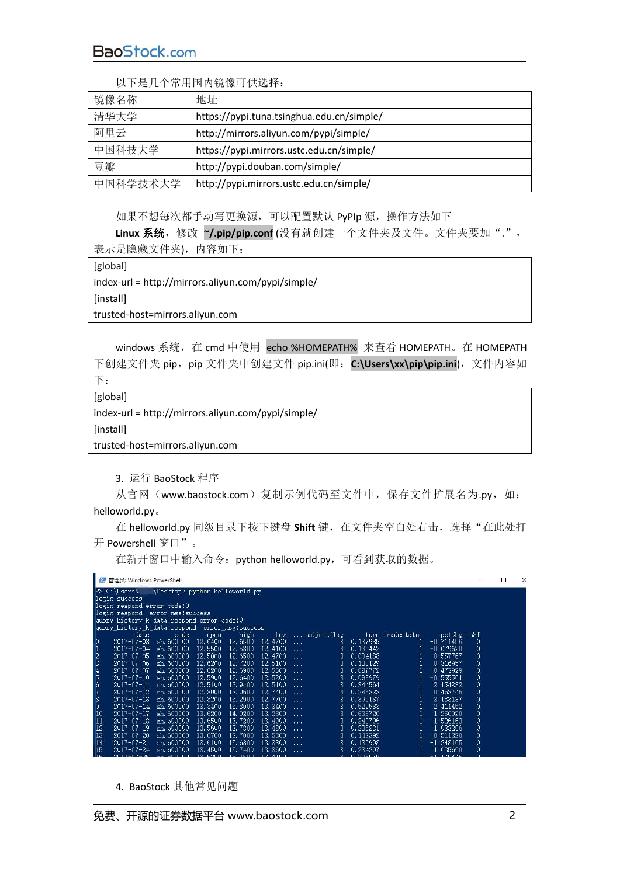BaoStock.com

| 镜像名称     | 地址                                        |  |  |  |  |  |  |
|----------|-------------------------------------------|--|--|--|--|--|--|
| 清华大学     | https://pypi.tuna.tsinghua.edu.cn/simple/ |  |  |  |  |  |  |
| 阿里云      | http://mirrors.aliyun.com/pypi/simple/    |  |  |  |  |  |  |
| 中国科技大学   | https://pypi.mirrors.ustc.edu.cn/simple/  |  |  |  |  |  |  |
| 豆瓣       | http://pypi.douban.com/simple/            |  |  |  |  |  |  |
| 中国科学技术大学 | http://pypi.mirrors.ustc.edu.cn/simple/   |  |  |  |  |  |  |

以下是几个常用国内镜像可供选择:

如果不想每次都手动写更换源,可以配置默认 PyPIp 源, 操作方法如下

Linux 系统,修改 ~/.pip/pip.conf (没有就创建一个文件夹及文件。文件夹要加".", 表示是隐藏文件夹),内容如下:

[global] index-url = http://mirrors.aliyun.com/pypi/simple/ [install] trusted-host=mirrors.aliyun.com

windows 系统,在 cmd 中使用 echo %HOMEPATH% 来查看 HOMEPATH。在 HOMEPATH 下创建文件夹 pip,pip 文件夹中创建文件 pip.ini(即: C:\Users\xx\pip\pip.ini), 文件内容如  $\overline{\Gamma}$ :

[global] index-url = http://mirrors.aliyun.com/pypi/simple/ [install] trusted-host=mirrors.aliyun.com

3. 运行 BaoStock 程序

从官网(www.baostock.com)复制示例代码至文件中,保存文件扩展名为.py,如: helloworld.py。

在 helloworld.py 同级目录下按下键盘 Shift 键, 在文件夹空白处右击, 选择"在此处打 开 Powershell 窗口"。

在新开窗口中输入命令:python helloworld.py,可看到获取的数据。

|                                           | ■ 管理员: Windows PowerShell               |                                |          |                   |                 |                 |            |                 |                  |             |              |  | × |
|-------------------------------------------|-----------------------------------------|--------------------------------|----------|-------------------|-----------------|-----------------|------------|-----------------|------------------|-------------|--------------|--|---|
|                                           | $PS C:\text{Users}$                     | \Desktop> python helloworld.py |          |                   |                 |                 |            |                 |                  |             |              |  |   |
| login success!                            |                                         |                                |          |                   |                 |                 |            |                 |                  |             |              |  |   |
| login respond error_code:0                |                                         |                                |          |                   |                 |                 |            |                 |                  |             |              |  |   |
| login respond error msg: success          |                                         |                                |          |                   |                 |                 |            |                 |                  |             |              |  |   |
| query_history_k_data_respond_error_code:0 |                                         |                                |          |                   |                 |                 |            |                 |                  |             |              |  |   |
|                                           | query history k data respond            |                                |          | error msg:success |                 |                 |            |                 |                  |             |              |  |   |
|                                           | date                                    | code                           | open     | high              | 1 <sub>ov</sub> | <b>Contract</b> | adjustflag |                 | turn tradestatus | potChg isST |              |  |   |
|                                           | $\vert 0 \vert$<br>$2017 - 07 - 03$     | sh. 600000                     | 12.6400  | 12.6500           | 12.4700         | $\sim$          | 3.         | 0.137985        | 1                | $-0.711456$ | 0            |  |   |
|                                           | 1<br>$2017 - 07 - 04$                   | sh.600000                      | 12.5500  | 12,5800           | 12.4100         | and a           | 3          | 0.130442        | 1                | $-0.079620$ | 0            |  |   |
|                                           | $\frac{2}{3}$<br>$2017 - 07 - 05$       | sh.600000                      | 12.5000  | 12.6500           | 12.4700         | $\sim$          | 3          | 0.094188        |                  | 0.557767    | 0            |  |   |
|                                           | $2017 - 07 - 06$                        | sh.600000                      | 12.6200  | 12.7200           | 12.5100         | a de la         | 3.         | 0.133129        |                  | 0.316957    | $\mathbf{0}$ |  |   |
|                                           | $\frac{4}{5}$ 6 6 7<br>$2017 - 07 - 07$ | sh. 600000                     | 12.6200  | 12.6900           | 12.5500         | $\cdots$        | 3          | 0.087772        | 1                | $-0.473929$ | 0            |  |   |
|                                           | $2017 - 07 - 10$                        | sh.600000                      | 12.5900  | 12.6400           | 12.5200         | $\sim$          | 3.         | 0.093979        | 1                | $-0.555561$ | $\theta$     |  |   |
|                                           | $2017 - 07 - 11$                        | sh. 600000                     | 12.5100  | 12.9400           | 12.5100         | a dia           | 3          | 0.344564        |                  | 2.154832    | 0            |  |   |
|                                           | $2017 - 07 - 12$                        | sh. 600000                     | 12.8000  | 13.0600           | 12.7400         |                 | 3.         | 0.286328        |                  | 0.468746    | 0            |  |   |
|                                           | $\frac{8}{9}$<br>$2017 - 07 - 13$       | sh.600000                      | 12.8200  | 13.2900           | 12,7700         | a dia           | 3          | 0.392187        |                  | 3.188187    | 0            |  |   |
|                                           | $2017 - 07 - 14$                        | sh. 600000                     | 13.3400  | 13,8000           | 13.3400         | $\sim$          | 3          | 0.522583        |                  | 2.411452    | 0            |  |   |
|                                           | 10<br>$2017 - 07 - 17$                  | sh. 600000                     | 13.6200  | 14.0200           | 13.2800         | المتعادية       | 3          | 0.635720        |                  | 1.250920    | 0            |  |   |
|                                           | 11<br>$2017 - 07 - 18$                  | sh.600000                      | 13.6500  | 13,7200           | 13.4000         | $\sim$          | 3          | 0.248706        |                  | $-1.526163$ | 0            |  |   |
|                                           | 12<br>$2017 - 07 - 19$                  | sh.600000                      | 13,5600  | 13,7800           | 13, 4800        |                 | 3          | 0.235231        |                  | 1.033206    | 0            |  |   |
|                                           | 13<br>2017-07-20                        | sh. 600000                     | 13.6700  | 13,7000           | 13.5300         | $\sim$          | 3          | 0.142392        |                  | $-0.511320$ | 0            |  |   |
|                                           | 14<br>2017-07-21                        | sh. 600000                     | 13,6100  | 13,6300           | 13.3800         | $\sim$          | 3          | 0.185998        |                  | $-1.248165$ | $\theta$     |  |   |
|                                           | 15<br>$2017 - 07 - 24$                  | sh. 600000                     | 13.4500  | 13.7400           | 13.3600         | .               | 3          | 0.234207        |                  | 1.635690    | 0            |  |   |
|                                           | 16<br>$2017 - 07 - 25$ ab 600000        |                                | 12, 6200 | 12, 7500          | 12 4100         |                 | $\sim$     | <b>0.209070</b> |                  | 1.170445    |              |  |   |

4. BaoStock 其他常见问题